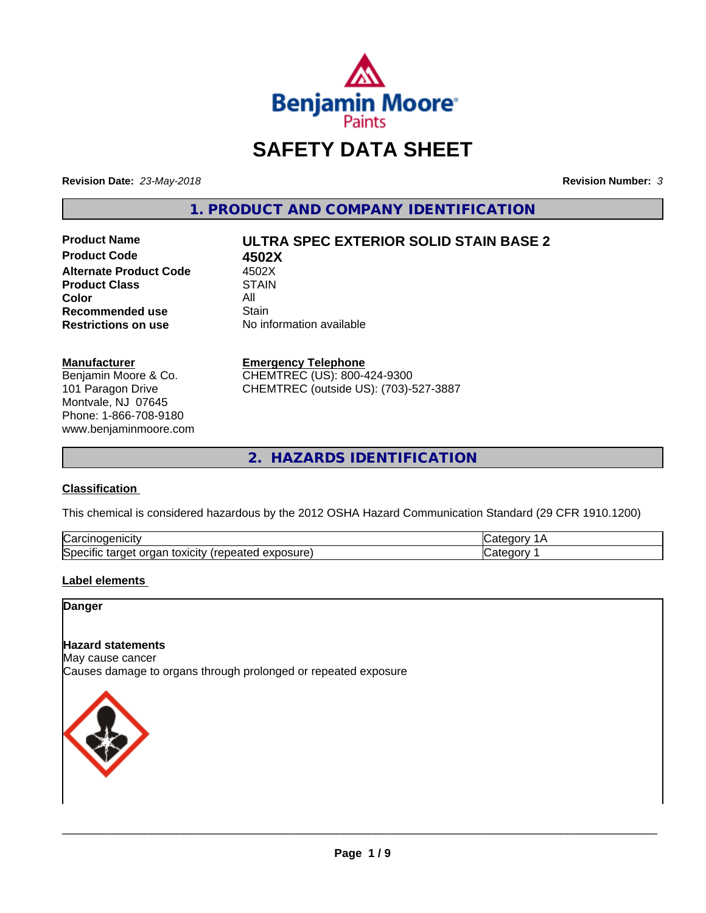

# **SAFETY DATA SHEET**

**Revision Date:** *23-May-2018* **Revision Number:** *3*

**1. PRODUCT AND COMPANY IDENTIFICATION**

**Product Code 4502X Alternate Product Code** 4502X<br> **Product Class** STAIN **Product Class Color** All All **Recommended use All Stain Recommended use**<br>Restrictions on use

# **Product Name ULTRA SPEC EXTERIOR SOLID STAIN BASE 2**

**No information available** 

#### **Manufacturer**

Benjamin Moore & Co. 101 Paragon Drive Montvale, NJ 07645 Phone: 1-866-708-9180 www.benjaminmoore.com

#### **Emergency Telephone**

CHEMTREC (US): 800-424-9300 CHEMTREC (outside US): (703)-527-3887

**2. HAZARDS IDENTIFICATION**

#### **Classification**

This chemical is considered hazardous by the 2012 OSHA Hazard Communication Standard (29 CFR 1910.1200)

| ∽<br>Nai<br>н                                                                      |  |
|------------------------------------------------------------------------------------|--|
| lSne<br>.<br>.∪xiCitV ′ ′<br>∼<br>osur<br>ിലെ<br>eared<br>ы<br>⊶<br>ж<br>– ^<br>__ |  |

#### **Label elements**

#### **Danger**

#### **Hazard statements**

May cause cancer Causes damage to organs through prolonged or repeated exposure

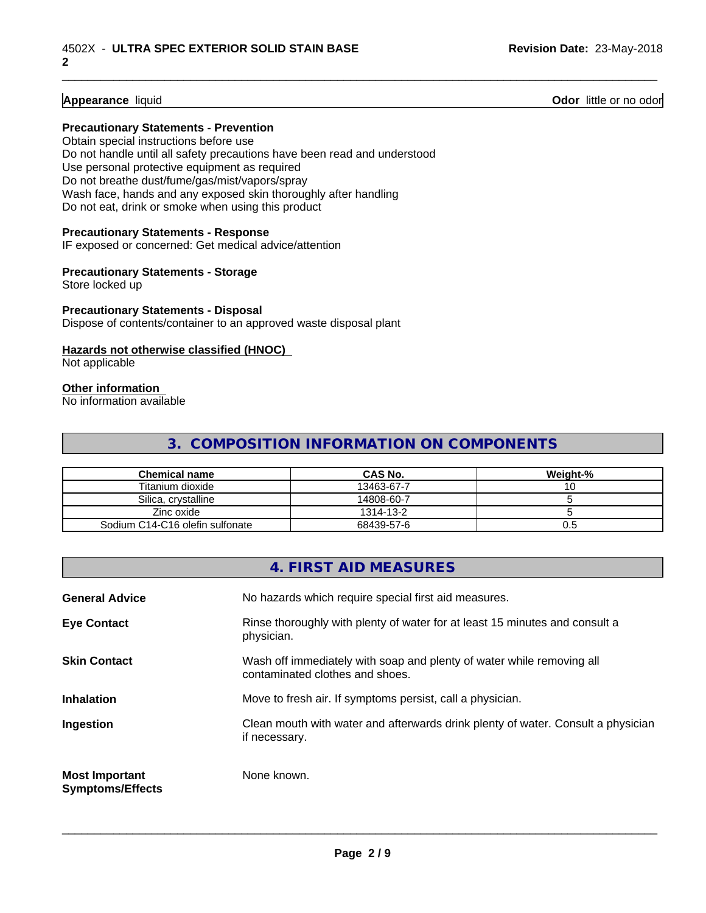**Appearance** liquid **Odor 11** Odor little or no odor

#### **Precautionary Statements - Prevention**

Obtain special instructions before use Do not handle until all safety precautions have been read and understood Use personal protective equipment as required Do not breathe dust/fume/gas/mist/vapors/spray Wash face, hands and any exposed skin thoroughly after handling Do not eat, drink or smoke when using this product

#### **Precautionary Statements - Response**

IF exposed or concerned: Get medical advice/attention

#### **Precautionary Statements - Storage**

Store locked up

#### **Precautionary Statements - Disposal**

Dispose of contents/container to an approved waste disposal plant

#### **Hazards not otherwise classified (HNOC)**

Not applicable

#### **Other information**

No information available

### **3. COMPOSITION INFORMATION ON COMPONENTS**

\_\_\_\_\_\_\_\_\_\_\_\_\_\_\_\_\_\_\_\_\_\_\_\_\_\_\_\_\_\_\_\_\_\_\_\_\_\_\_\_\_\_\_\_\_\_\_\_\_\_\_\_\_\_\_\_\_\_\_\_\_\_\_\_\_\_\_\_\_\_\_\_\_\_\_\_\_\_\_\_\_\_\_\_\_\_\_\_\_\_\_\_\_

| Chemical name                   | <b>CAS No.</b> | Weight-% |
|---------------------------------|----------------|----------|
| Titanium dioxide                | 13463-67-7     | ັບ       |
| Silica, crystalline             | 14808-60-7     |          |
| Zinc oxide                      | 1314-13-2      |          |
| Sodium C14-C16 olefin sulfonate | 68439-57-6     | c.u      |

### **4. FIRST AID MEASURES**

| <b>General Advice</b>                            | No hazards which require special first aid measures.                                                     |
|--------------------------------------------------|----------------------------------------------------------------------------------------------------------|
| <b>Eye Contact</b>                               | Rinse thoroughly with plenty of water for at least 15 minutes and consult a<br>physician.                |
| <b>Skin Contact</b>                              | Wash off immediately with soap and plenty of water while removing all<br>contaminated clothes and shoes. |
| <b>Inhalation</b>                                | Move to fresh air. If symptoms persist, call a physician.                                                |
| Ingestion                                        | Clean mouth with water and afterwards drink plenty of water. Consult a physician<br>if necessary.        |
| <b>Most Important</b><br><b>Symptoms/Effects</b> | None known.                                                                                              |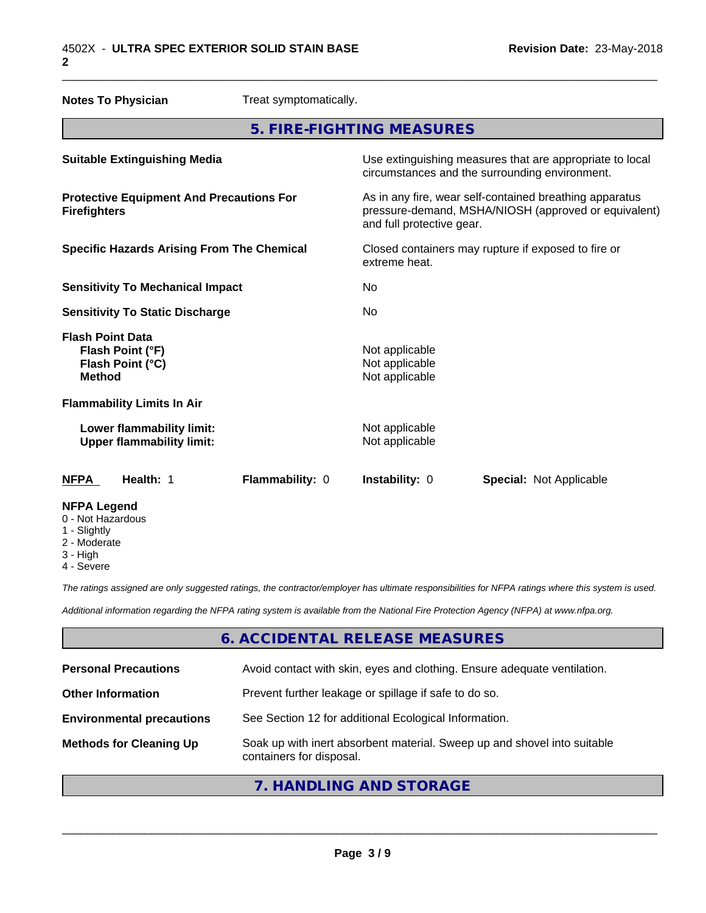| <b>Notes To Physician</b>                                                        | Treat symptomatically. |                                                                                                                                              |                                |  |
|----------------------------------------------------------------------------------|------------------------|----------------------------------------------------------------------------------------------------------------------------------------------|--------------------------------|--|
|                                                                                  |                        | 5. FIRE-FIGHTING MEASURES                                                                                                                    |                                |  |
| <b>Suitable Extinguishing Media</b>                                              |                        | Use extinguishing measures that are appropriate to local<br>circumstances and the surrounding environment.                                   |                                |  |
| <b>Protective Equipment And Precautions For</b><br><b>Firefighters</b>           |                        | As in any fire, wear self-contained breathing apparatus<br>pressure-demand, MSHA/NIOSH (approved or equivalent)<br>and full protective gear. |                                |  |
| <b>Specific Hazards Arising From The Chemical</b>                                |                        | Closed containers may rupture if exposed to fire or<br>extreme heat.                                                                         |                                |  |
| <b>Sensitivity To Mechanical Impact</b>                                          |                        | No                                                                                                                                           |                                |  |
| <b>Sensitivity To Static Discharge</b>                                           |                        | No                                                                                                                                           |                                |  |
| <b>Flash Point Data</b><br>Flash Point (°F)<br>Flash Point (°C)<br><b>Method</b> |                        | Not applicable<br>Not applicable<br>Not applicable                                                                                           |                                |  |
| <b>Flammability Limits In Air</b>                                                |                        |                                                                                                                                              |                                |  |
| Lower flammability limit:<br><b>Upper flammability limit:</b>                    |                        | Not applicable<br>Not applicable                                                                                                             |                                |  |
| Health: 1<br><b>NFPA</b>                                                         | Flammability: 0        | Instability: 0                                                                                                                               | <b>Special: Not Applicable</b> |  |
| <b>NFPA Legend</b><br>0 - Not Hazardous<br>1 - Slightly                          |                        |                                                                                                                                              |                                |  |

- 2 Moderate
- 
- 3 High
- 4 Severe

*The ratings assigned are only suggested ratings, the contractor/employer has ultimate responsibilities for NFPA ratings where this system is used.*

*Additional information regarding the NFPA rating system is available from the National Fire Protection Agency (NFPA) at www.nfpa.org.*

# **6. ACCIDENTAL RELEASE MEASURES**

| <b>Personal Precautions</b>      | Avoid contact with skin, eyes and clothing. Ensure adequate ventilation.                             |
|----------------------------------|------------------------------------------------------------------------------------------------------|
| <b>Other Information</b>         | Prevent further leakage or spillage if safe to do so.                                                |
| <b>Environmental precautions</b> | See Section 12 for additional Ecological Information.                                                |
| <b>Methods for Cleaning Up</b>   | Soak up with inert absorbent material. Sweep up and shovel into suitable<br>containers for disposal. |
|                                  |                                                                                                      |

# **7. HANDLING AND STORAGE**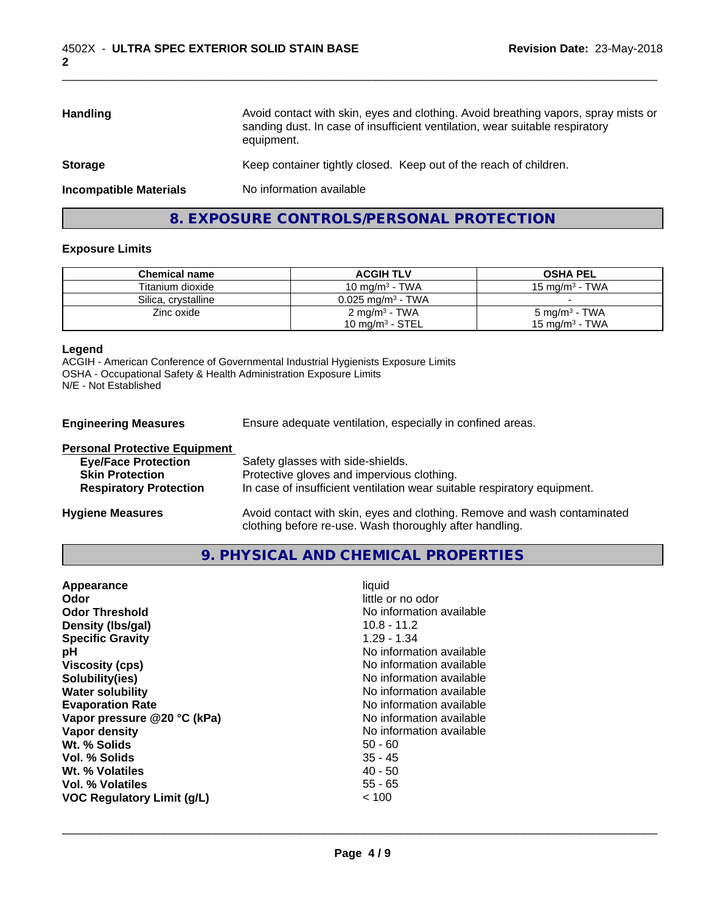| <b>Handling</b>               | Avoid contact with skin, eyes and clothing. Avoid breathing vapors, spray mists or<br>sanding dust. In case of insufficient ventilation, wear suitable respiratory<br>equipment. |
|-------------------------------|----------------------------------------------------------------------------------------------------------------------------------------------------------------------------------|
| <b>Storage</b>                | Keep container tightly closed. Keep out of the reach of children.                                                                                                                |
| <b>Incompatible Materials</b> | No information available                                                                                                                                                         |
|                               |                                                                                                                                                                                  |

# **8. EXPOSURE CONTROLS/PERSONAL PROTECTION**

#### **Exposure Limits**

| <b>Chemical name</b> | <b>ACGIH TLV</b>             | <b>OSHA PEL</b>           |
|----------------------|------------------------------|---------------------------|
| Titanium dioxide     | 10 mg/m <sup>3</sup> - TWA   | 15 mg/m $3$ - TWA         |
| Silica, crystalline  | $0.025 \text{ ma/m}^3$ - TWA |                           |
| Zinc oxide           | 2 mg/m <sup>3</sup> - TWA    | 5 mg/m <sup>3</sup> - TWA |
|                      | 10 mg/m $3$ - STEL           | 15 mg/m $^3$ - TWA        |

#### **Legend**

ACGIH - American Conference of Governmental Industrial Hygienists Exposure Limits OSHA - Occupational Safety & Health Administration Exposure Limits N/E - Not Established

**Engineering Measures** Ensure adequate ventilation, especially in confined areas.

| <b>Personal Protective Equipment</b> |                                                                                                                                     |
|--------------------------------------|-------------------------------------------------------------------------------------------------------------------------------------|
| <b>Eye/Face Protection</b>           | Safety glasses with side-shields.                                                                                                   |
| <b>Skin Protection</b>               | Protective gloves and impervious clothing.                                                                                          |
| <b>Respiratory Protection</b>        | In case of insufficient ventilation wear suitable respiratory equipment.                                                            |
| <b>Hygiene Measures</b>              | Avoid contact with skin, eyes and clothing. Remove and wash contaminated<br>clothing before re-use. Wash thoroughly after handling. |

#### **9. PHYSICAL AND CHEMICAL PROPERTIES**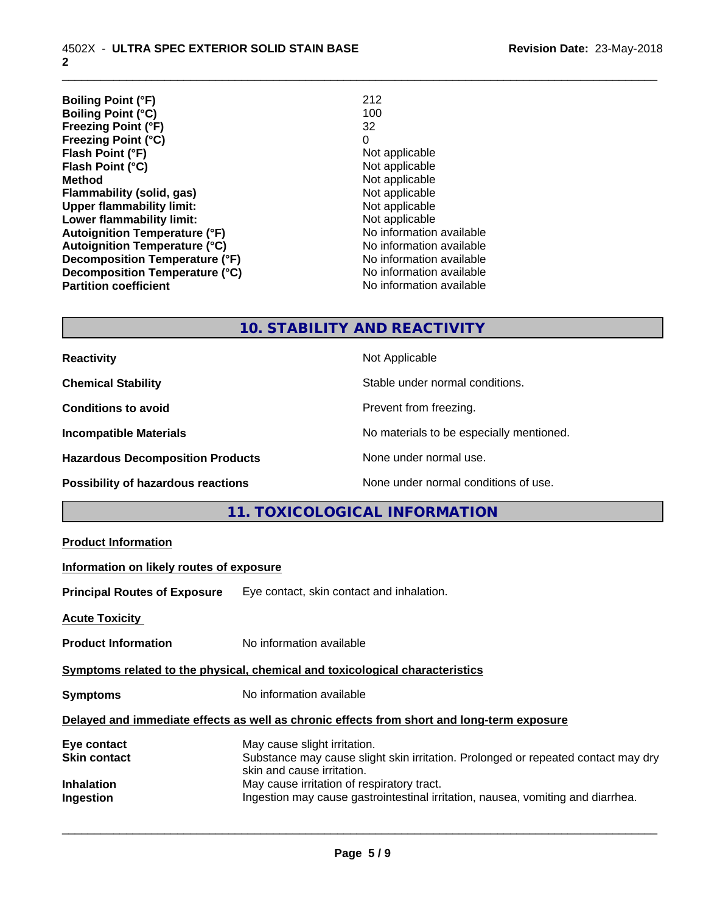**Boiling Point (°F)** 212 **Boiling Point (°C)** 100<br>**Freezing Point (°F)** 32 **Freezing Point (°F)** 32 **Freezing Point (°C)** 0 **Flash Point (°F)**<br> **Flash Point (°C)**<br> **Flash Point (°C)**<br> **Point (°C)**<br> **Point (°C)**<br> **Point (°C)**<br> **Point (°C)**<br> **Point (°C) Flash Point (°C) Method**<br> **Flammability (solid, gas)**<br> **Example 2018** Not applicable **Flammability (solid, gas)** Not applicable Not applicable<br>
Upper flammability limit: Not applicable **Upper flammability limit:**<br> **Lower flammability limit:**<br>
Not applicable<br>
Not applicable **Lower flammability limit:**<br> **Autoignition Temperature (°F)**<br>
Mo information available **Autoignition Temperature (°F) Autoignition Temperature (°C)** No information available **Decomposition Temperature (°F)**<br> **Decomposition Temperature (°C)** No information available<br>
No information available **Decomposition Temperature (°C)**<br>Partition coefficient

**No information available** 

\_\_\_\_\_\_\_\_\_\_\_\_\_\_\_\_\_\_\_\_\_\_\_\_\_\_\_\_\_\_\_\_\_\_\_\_\_\_\_\_\_\_\_\_\_\_\_\_\_\_\_\_\_\_\_\_\_\_\_\_\_\_\_\_\_\_\_\_\_\_\_\_\_\_\_\_\_\_\_\_\_\_\_\_\_\_\_\_\_\_\_\_\_

# **10. STABILITY AND REACTIVITY**

**Reactivity** Not Applicable **Chemical Stability** Stable under normal conditions. **Conditions to avoid Prevent from freezing. Incompatible Materials No materials** No materials to be especially mentioned. **Hazardous Decomposition Products** None under normal use. **Possibility of hazardous reactions** None under normal conditions of use.

# **11. TOXICOLOGICAL INFORMATION**

| <b>Product Information</b>               |                                                                                                                                                 |
|------------------------------------------|-------------------------------------------------------------------------------------------------------------------------------------------------|
| Information on likely routes of exposure |                                                                                                                                                 |
|                                          | <b>Principal Routes of Exposure</b> Eye contact, skin contact and inhalation.                                                                   |
| <b>Acute Toxicity</b>                    |                                                                                                                                                 |
| <b>Product Information</b>               | No information available                                                                                                                        |
|                                          | Symptoms related to the physical, chemical and toxicological characteristics                                                                    |
| <b>Symptoms</b>                          | No information available                                                                                                                        |
|                                          | Delayed and immediate effects as well as chronic effects from short and long-term exposure                                                      |
| Eye contact<br>Skin contact              | May cause slight irritation.<br>Substance may cause slight skin irritation. Prolonged or repeated contact may dry<br>skin and cause irritation. |
| Inhalation<br>Ingestion                  | May cause irritation of respiratory tract.<br>Ingestion may cause gastrointestinal irritation, nausea, vomiting and diarrhea.                   |
|                                          |                                                                                                                                                 |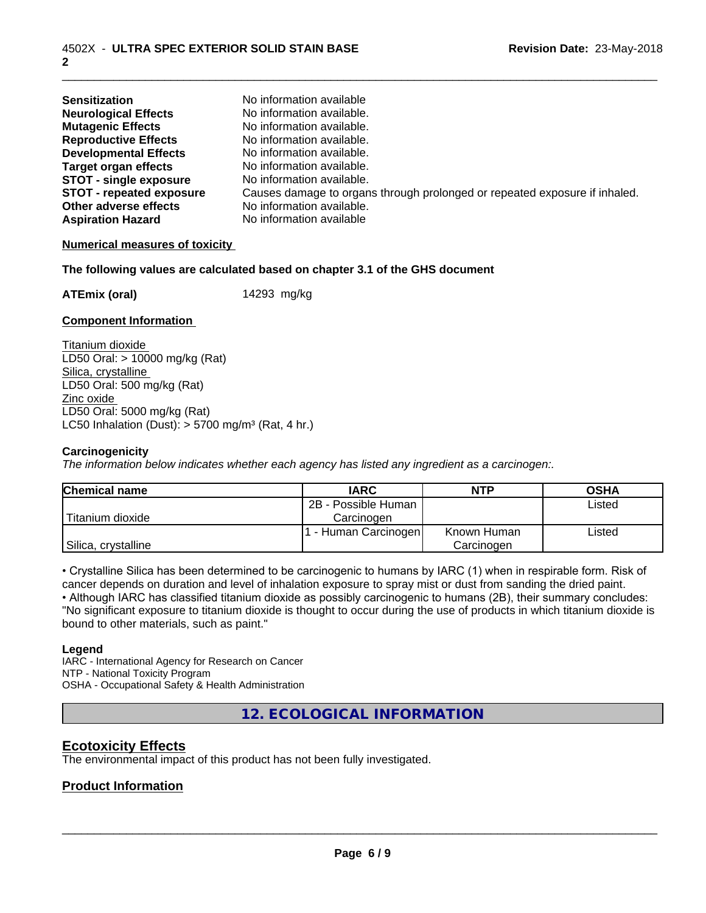| <b>Sensitization</b>            | No information available                                                   |
|---------------------------------|----------------------------------------------------------------------------|
| <b>Neurological Effects</b>     | No information available.                                                  |
| <b>Mutagenic Effects</b>        | No information available.                                                  |
| <b>Reproductive Effects</b>     | No information available.                                                  |
| <b>Developmental Effects</b>    | No information available.                                                  |
| <b>Target organ effects</b>     | No information available.                                                  |
| <b>STOT - single exposure</b>   | No information available.                                                  |
| <b>STOT - repeated exposure</b> | Causes damage to organs through prolonged or repeated exposure if inhaled. |
| Other adverse effects           | No information available.                                                  |
| <b>Aspiration Hazard</b>        | No information available                                                   |

#### **Numerical measures of toxicity**

#### **The following values are calculated based on chapter 3.1 of the GHS document**

**ATEmix (oral)** 14293 mg/kg

#### **Component Information**

Titanium dioxide LD50 Oral: > 10000 mg/kg (Rat) Silica, crystalline LD50 Oral: 500 mg/kg (Rat) Zinc oxide LD50 Oral: 5000 mg/kg (Rat) LC50 Inhalation (Dust):  $> 5700$  mg/m<sup>3</sup> (Rat, 4 hr.)

#### **Carcinogenicity**

*The information below indicateswhether each agency has listed any ingredient as a carcinogen:.*

| <b>Chemical name</b> | <b>IARC</b>          | <b>NTP</b>  | <b>OSHA</b> |
|----------------------|----------------------|-------------|-------------|
|                      | 2B - Possible Human  |             | Listed      |
| Titanium dioxide     | Carcinoɑen           |             |             |
|                      | . - Human Carcinogen | Known Human | ∟isted      |
| Silica, crystalline  |                      | Carcinogen  |             |

• Crystalline Silica has been determined to be carcinogenic to humans by IARC (1) when in respirable form. Risk of cancer depends on duration and level of inhalation exposure to spray mist or dust from sanding the dried paint.

• Although IARC has classified titanium dioxide as possibly carcinogenic to humans (2B), their summary concludes: "No significant exposure to titanium dioxide is thought to occur during the use of products in which titanium dioxide is bound to other materials, such as paint."

#### **Legend**

IARC - International Agency for Research on Cancer NTP - National Toxicity Program OSHA - Occupational Safety & Health Administration

**12. ECOLOGICAL INFORMATION**

#### **Ecotoxicity Effects**

The environmental impact of this product has not been fully investigated.

#### **Product Information**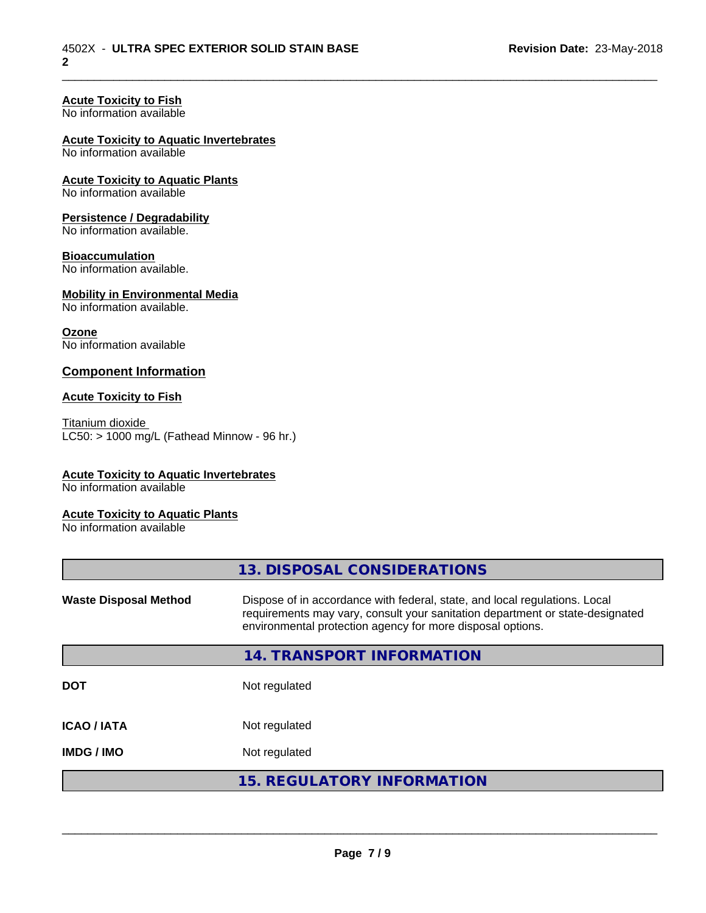# **Acute Toxicity to Fish**

No information available

#### **Acute Toxicity to Aquatic Invertebrates**

No information available

#### **Acute Toxicity to Aquatic Plants** No information available

# **Persistence / Degradability**

No information available.

#### **Bioaccumulation**

No information available.

### **Mobility in Environmental Media**

No information available.

#### **Ozone**

No information available

#### **Component Information**

#### **Acute Toxicity to Fish**

Titanium dioxide  $LC50:$  > 1000 mg/L (Fathead Minnow - 96 hr.)

#### **Acute Toxicity to Aquatic Invertebrates**

No information available

#### **Acute Toxicity to Aquatic Plants**

No information available

|                              | 13. DISPOSAL CONSIDERATIONS                                                                                                                                                                                               |
|------------------------------|---------------------------------------------------------------------------------------------------------------------------------------------------------------------------------------------------------------------------|
| <b>Waste Disposal Method</b> | Dispose of in accordance with federal, state, and local regulations. Local<br>requirements may vary, consult your sanitation department or state-designated<br>environmental protection agency for more disposal options. |
|                              | 14. TRANSPORT INFORMATION                                                                                                                                                                                                 |
| <b>DOT</b>                   | Not regulated                                                                                                                                                                                                             |
| <b>ICAO/IATA</b>             | Not regulated                                                                                                                                                                                                             |
| <b>IMDG/IMO</b>              | Not regulated                                                                                                                                                                                                             |
|                              | <b>15. REGULATORY INFORMATION</b>                                                                                                                                                                                         |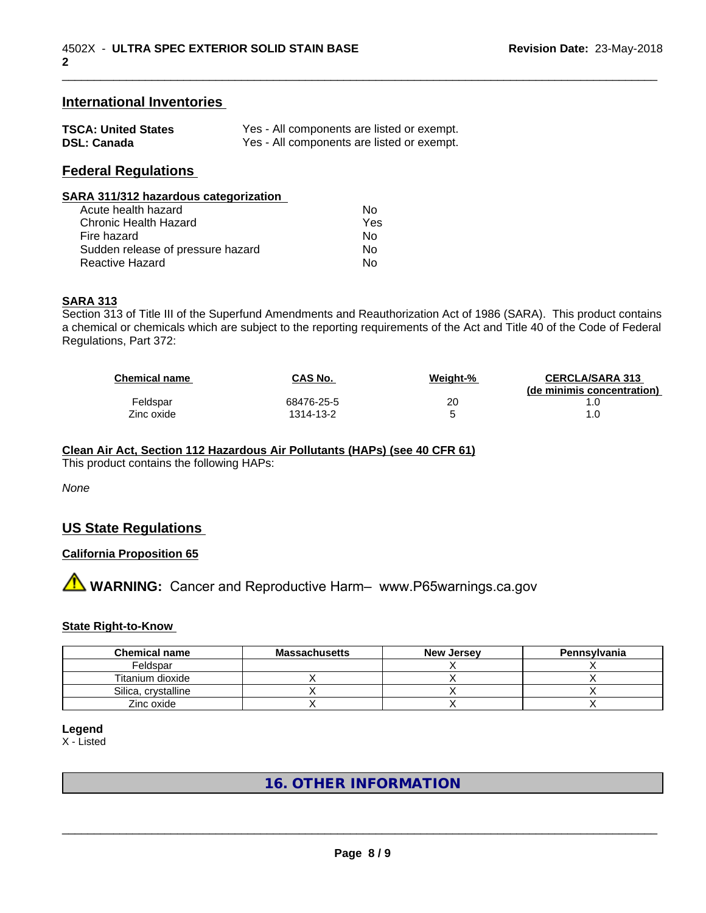#### **International Inventories**

| <b>TSCA: United States</b> | Yes - All components are listed or exempt. |
|----------------------------|--------------------------------------------|
| <b>DSL: Canada</b>         | Yes - All components are listed or exempt. |

#### **Federal Regulations**

| SARA 311/312 hazardous categorization |      |  |
|---------------------------------------|------|--|
| Acute health hazard                   | No   |  |
| Chronic Hoolth Hozard                 | Voc. |  |

| Chronic Health Hazard             | Yes |  |
|-----------------------------------|-----|--|
| Fire hazard                       | Nο  |  |
| Sudden release of pressure hazard | Nο  |  |
| Reactive Hazard                   | Nο  |  |

#### **SARA 313**

Section 313 of Title III of the Superfund Amendments and Reauthorization Act of 1986 (SARA). This product contains a chemical or chemicals which are subject to the reporting requirements of the Act and Title 40 of the Code of Federal Regulations, Part 372:

| <b>Chemical name</b> | CAS No.    | Weight-% | <b>CERCLA/SARA 313</b><br>(de minimis concentration) |
|----------------------|------------|----------|------------------------------------------------------|
| Feldspar             | 68476-25-5 | 20       |                                                      |
| Zinc oxide           | 1314-13-2  |          |                                                      |

\_\_\_\_\_\_\_\_\_\_\_\_\_\_\_\_\_\_\_\_\_\_\_\_\_\_\_\_\_\_\_\_\_\_\_\_\_\_\_\_\_\_\_\_\_\_\_\_\_\_\_\_\_\_\_\_\_\_\_\_\_\_\_\_\_\_\_\_\_\_\_\_\_\_\_\_\_\_\_\_\_\_\_\_\_\_\_\_\_\_\_\_\_

# **Clean Air Act,Section 112 Hazardous Air Pollutants (HAPs) (see 40 CFR 61)**

This product contains the following HAPs:

*None*

# **US State Regulations**

#### **California Proposition 65**

**A** WARNING: Cancer and Reproductive Harm– www.P65warnings.ca.gov

#### **State Right-to-Know**

| <b>Chemical name</b> | <b>Massachusetts</b> | <b>New Jersey</b> | Pennsylvania |
|----------------------|----------------------|-------------------|--------------|
| Feldspar             |                      |                   |              |
| Titanium dioxide     |                      |                   |              |
| Silica, crystalline  |                      |                   |              |
| Zinc oxide           |                      |                   |              |

**Legend**

X - Listed

# **16. OTHER INFORMATION**